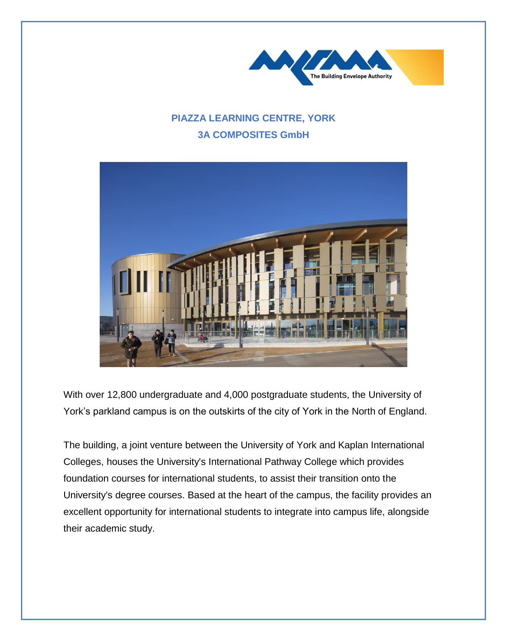

## **PIAZZA LEARNING CENTRE, YORK 3A COMPOSITES GmbH**



With over 12,800 undergraduate and 4,000 postgraduate students, the University of York's parkland campus is on the outskirts of the city of York in the North of England.

The building, a joint venture between the University of York and Kaplan International Colleges, houses the University's International Pathway College which provides foundation courses for international students, to assist their transition onto the University's degree courses. Based at the heart of the campus, the facility provides an excellent opportunity for international students to integrate into campus life, alongside their academic study.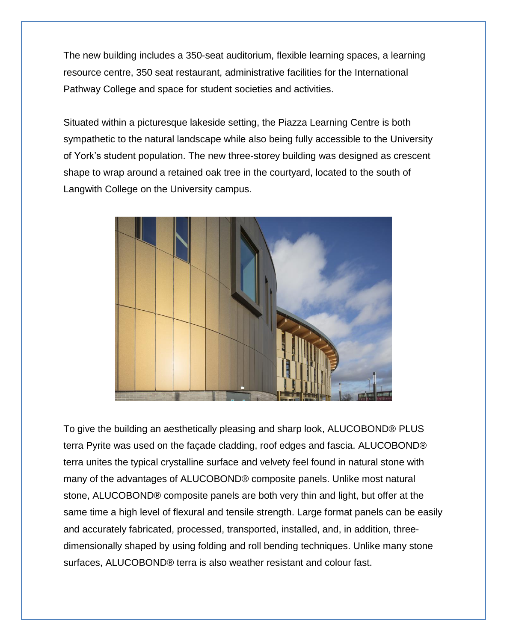The new building includes a 350-seat auditorium, flexible learning spaces, a learning resource centre, 350 seat restaurant, administrative facilities for the International Pathway College and space for student societies and activities.

Situated within a picturesque lakeside setting, the Piazza Learning Centre is both sympathetic to the natural landscape while also being fully accessible to the University of York's student population. The new three-storey building was designed as crescent shape to wrap around a retained oak tree in the courtyard, located to the south of Langwith College on the University campus.



To give the building an aesthetically pleasing and sharp look, ALUCOBOND® PLUS terra Pyrite was used on the façade cladding, roof edges and fascia. ALUCOBOND® terra unites the typical crystalline surface and velvety feel found in natural stone with many of the advantages of ALUCOBOND® composite panels. Unlike most natural stone, ALUCOBOND® composite panels are both very thin and light, but offer at the same time a high level of flexural and tensile strength. Large format panels can be easily and accurately fabricated, processed, transported, installed, and, in addition, threedimensionally shaped by using folding and roll bending techniques. Unlike many stone surfaces, ALUCOBOND® terra is also weather resistant and colour fast.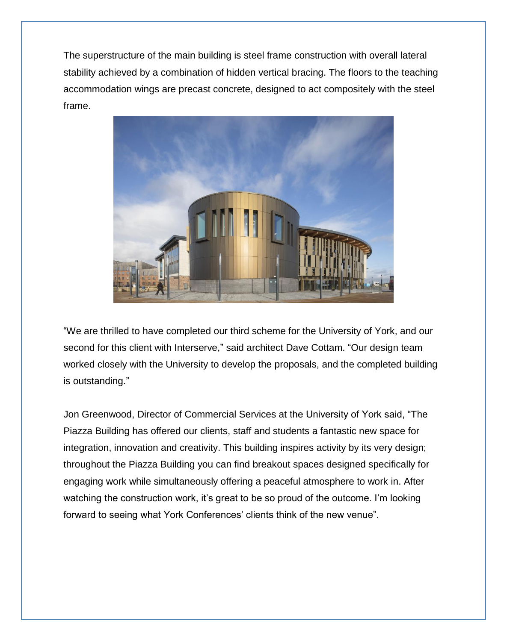The superstructure of the main building is steel frame construction with overall lateral stability achieved by a combination of hidden vertical bracing. The floors to the teaching accommodation wings are precast concrete, designed to act compositely with the steel frame.



"We are thrilled to have completed our third scheme for the University of York, and our second for this client with Interserve," said architect Dave Cottam. "Our design team worked closely with the University to develop the proposals, and the completed building is outstanding."

Jon Greenwood, Director of Commercial Services at the University of York said, "The Piazza Building has offered our clients, staff and students a fantastic new space for integration, innovation and creativity. This building inspires activity by its very design; throughout the Piazza Building you can find breakout spaces designed specifically for engaging work while simultaneously offering a peaceful atmosphere to work in. After watching the construction work, it's great to be so proud of the outcome. I'm looking forward to seeing what York Conferences' clients think of the new venue".